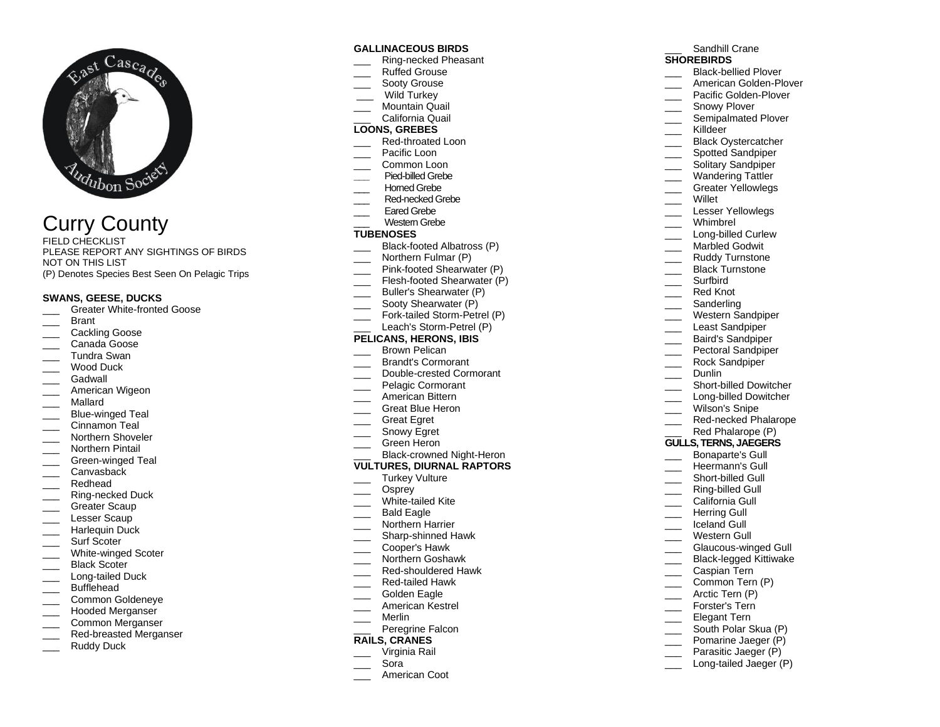

# Curry County

FIELD CHECKLIST PLEASE REPORT ANY SIGHTINGS OF BIRDS NOT ON THIS LIST (P) Denotes Species Best Seen On Pelagic Trips

#### **SWANS, GEESE, DUCKS**

- Greater White-fronted Goose
- \_\_\_ Brant
- Cackling Goose
- Canada Goose
- \_\_\_ Tundra Swan
- Wood Duck
- Gadwall
- American Wigeon
- \_\_\_ Mallard
- Blue-winged Teal
- Cinnamon Teal
- Northern Shoveler
- \_\_\_ Northern Pintail
- \_\_\_ Green-winged Teal
- Canvasback
- \_\_\_ Redhead
- Ring-necked Duck
- Greater Scaup
- Lesser Scaup
- Harlequin Duck
- Surf Scoter
- 
- White-winged Scoter Black Scoter
- Long-tailed Duck
- Bufflehead
- 
- Common Goldeneye \_\_\_ Hooded Merganser
- 
- \_\_\_ Common Merganser Red-breasted Merganser
- 
- Ruddy Duck

#### **GALLINACEOUS BIRDS**

- \_\_\_ Ring-necked Pheasant
- \_\_\_ Ruffed Grouse
- Sooty Grouse
- Wild Turkey
- Mountain Quail
- \_\_\_ California Quail

# **LOONS, GREBES**

- Red-throated Loon
- Pacific Loon
- Common Loon
- **\_\_\_** Pied-billed Grebe
- Homed Grebe
- Red-necked Grebe
- Fared Grebe
- Western Grebe

#### **TUBENOSES**

- Black-footed Albatross (P)
- Northern Fulmar (P)
- Pink-footed Shearwater (P)
- Flesh-footed Shearwater (P)
- Buller's Shearwater (P)
- Sooty Shearwater (P)
- \_\_\_ Fork-tailed Storm-Petrel (P)
- Leach's Storm-Petrel (P)

#### **PELICANS, HERONS, IBIS**

- Brown Pelican
- \_\_\_ Brandt's Cormorant
- \_\_\_ Double-crested Cormorant
- Pelagic Cormorant
- \_\_\_ American Bittern
- Great Blue Heron
- \_\_\_ Great Egret
- Snowy Egret
- \_\_\_ Green Heron

# Black-crowned Night-Heron

- **VULTURES, DIURNAL RAPTORS**
- Turkey Vulture
- \_\_\_ Osprey
- White-tailed Kite
- Bald Eagle
- Northern Harrier
- \_\_\_ Sharp-shinned Hawk
- \_\_\_ Cooper's Hawk
- \_\_\_ Northern Goshawk
- \_\_\_ Red-shouldered Hawk
- \_\_\_ Red-tailed Hawk
- Golden Eagle
- \_\_\_ American Kestrel
- \_\_\_ Merlin
- Peregrine Falcon

# **RAILS, CRANES**

- \_\_\_ Virginia Rail
- \_\_\_ Sora
- American Coot

# Sandhill Crane

- **SHOREBIRDS**
- \_\_\_ Black-bellied Plover
- \_\_\_ American Golden-Plover
- Pacific Golden-Plover
- \_\_\_\_ Snowy Plover
- Semipalmated Plover
- \_\_\_ Killdeer

\_\_\_ Willet

\_\_\_ Whimbrel

\_\_\_ Surfbird Red Knot Sanderling Western Sandpiper Least Sandpiper \_\_\_ Baird's Sandpiper Pectoral Sandpiper Rock Sandpiper

\_\_\_ Dunlin

Short-billed Dowitcher \_\_\_ Long-billed Dowitcher \_\_\_ Wilson's Snipe

Red-necked Phalarope Red Phalarope (P) **GULLS, TERNS, JAEGERS** Bonaparte's Gull Heermann's Gull Short-billed Gull Ring-billed Gull California Gull \_\_\_ Herring Gull Iceland Gull Western Gull

> Glaucous-winged Gull Black-legged Kittiwake

Common Tern (P) Arctic Tern (P) Forster's Tern Elegant Tern South Polar Skua (P) Pomarine Jaeger (P) Parasitic Jaeger (P) Long-tailed Jaeger (P)

\_\_\_ Caspian Tern

\_\_\_ Black Oystercatcher

Wandering Tattler Greater Yellowlegs

Lesser Yellowlegs

Long-billed Curlew Marbled Godwit \_\_\_ Ruddy Turnstone Black Turnstone

Spotted Sandpiper \_\_\_\_ Solitary Sandpiper